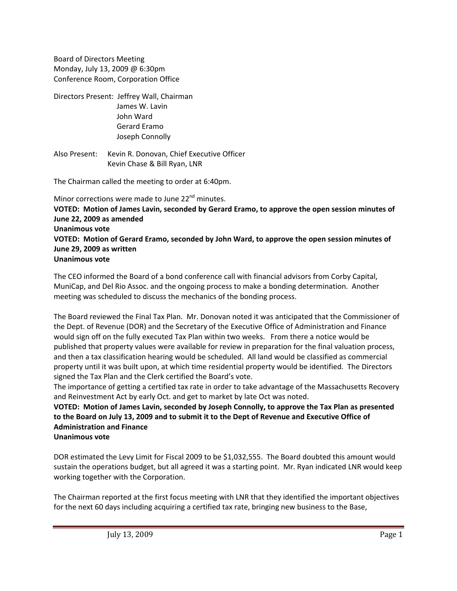Board of Directors Meeting Monday, July 13, 2009 @ 6:30pm Conference Room, Corporation Office

Directors Present: Jeffrey Wall, Chairman James W. Lavin John Ward Gerard Eramo Joseph Connolly

Also Present: Kevin R. Donovan, Chief Executive Officer Kevin Chase & Bill Ryan, LNR

The Chairman called the meeting to order at 6:40pm.

Minor corrections were made to June 22<sup>nd</sup> minutes. **VOTED: Motion of James Lavin, seconded by Gerard Eramo, to approve the open session minutes of June 22, 2009 as amended Unanimous vote VOTED: Motion of Gerard Eramo, seconded by John Ward, to approve the open session minutes of June 29, 2009 as written Unanimous vote**

The CEO informed the Board of a bond conference call with financial advisors from Corby Capital, MuniCap, and Del Rio Assoc. and the ongoing process to make a bonding determination. Another meeting was scheduled to discuss the mechanics of the bonding process.

The Board reviewed the Final Tax Plan. Mr. Donovan noted it was anticipated that the Commissioner of the Dept. of Revenue (DOR) and the Secretary of the Executive Office of Administration and Finance would sign off on the fully executed Tax Plan within two weeks. From there a notice would be published that property values were available for review in preparation for the final valuation process, and then a tax classification hearing would be scheduled. All land would be classified as commercial property until it was built upon, at which time residential property would be identified. The Directors signed the Tax Plan and the Clerk certified the Board's vote.

The importance of getting a certified tax rate in order to take advantage of the Massachusetts Recovery and Reinvestment Act by early Oct. and get to market by late Oct was noted.

**VOTED: Motion of James Lavin, seconded by Joseph Connolly, to approve the Tax Plan as presented** to the Board on July 13, 2009 and to submit it to the Dept of Revenue and Executive Office of **Administration and Finance**

**Unanimous vote**

DOR estimated the Levy Limit for Fiscal 2009 to be \$1,032,555. The Board doubted this amount would sustain the operations budget, but all agreed it was a starting point. Mr. Ryan indicated LNR would keep working together with the Corporation.

The Chairman reported at the first focus meeting with LNR that they identified the important objectives for the next 60 days including acquiring a certified tax rate, bringing new business to the Base,